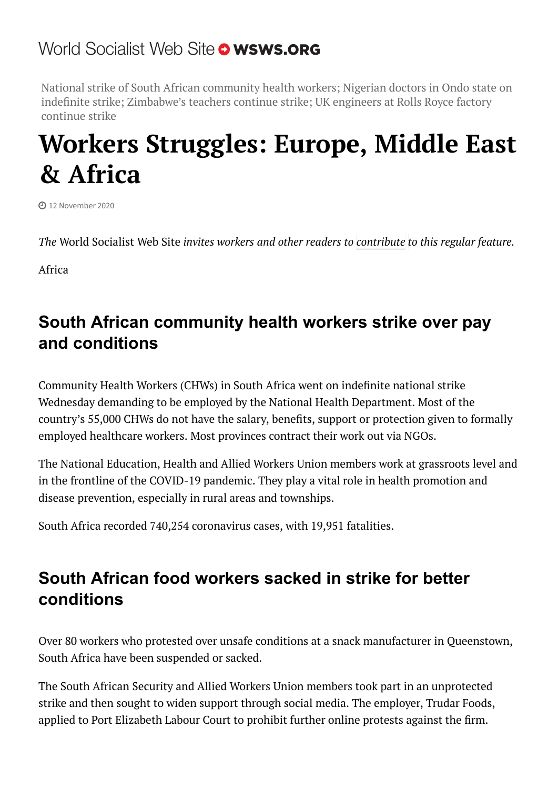# World Socialist Web Site o wsws.org

National strike of South African community health workers; Nigerian doctors in Ondo state on indefinite strike; Zimbabwe's teachers continue strike; UK engineers at Rolls Royce factory continue strike

# **Workers Struggles: Europe, Middle East & Africa**

12 November 2020

*The* World Socialist Web Site *invites workers and other readers to [contribute](http://www.wsws.org/wsws/dd-formmailer/dd-formmailer.php) to this regular feature.*

Africa

# **South African community health workers strike over pay and conditions**

Community Health Workers (CHWs) in South Africa went on indefinite national strike Wednesday demanding to be employed by the National Health Department. Most of the country's 55,000 CHWs do not have the salary, benefits, support or protection given to formally employed healthcare workers. Most provinces contract their work out via NGOs.

The National Education, Health and Allied Workers Union members work at grassroots level and in the frontline of the COVID-19 pandemic. They play a vital role in health promotion and disease prevention, especially in rural areas and townships.

South Africa recorded 740,254 coronavirus cases, with 19,951 fatalities.

# **South African food workers sacked in strike for better conditions**

Over 80 workers who protested over unsafe conditions at a snack manufacturer in Queenstown, South Africa have been suspended or sacked.

The South African Security and Allied Workers Union members took part in an unprotected strike and then sought to widen support through social media. The employer, Trudar Foods, applied to Port Elizabeth Labour Court to prohibit further online protests against the firm.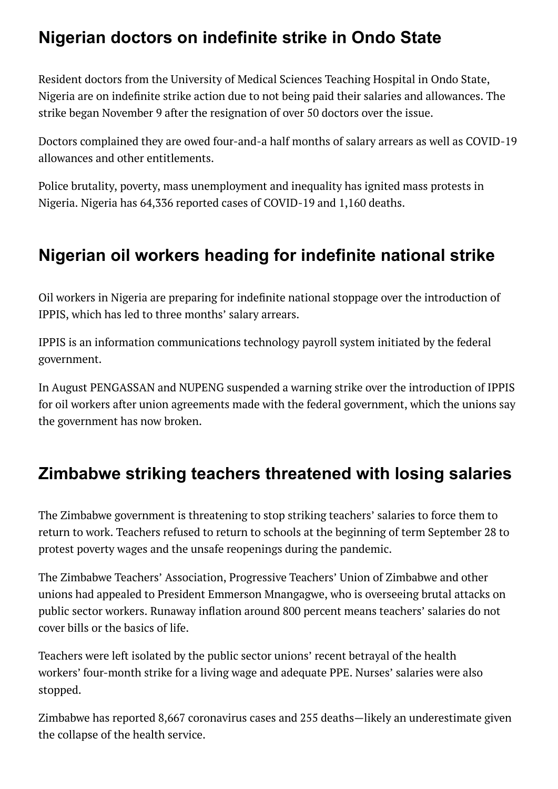#### **Nigerian doctors on indefinite strike in Ondo State**

Resident doctors from the University of Medical Sciences Teaching Hospital in Ondo State, Nigeria are on indefinite strike action due to not being paid their salaries and allowances. The strike began November 9 after the resignation of over 50 doctors over the issue.

Doctors complained they are owed four-and-a half months of salary arrears as well as COVID-19 allowances and other entitlements.

Police brutality, poverty, mass unemployment and inequality has ignited mass protests in Nigeria. Nigeria has 64,336 reported cases of COVID-19 and 1,160 deaths.

## **Nigerian oil workers heading for indefinite national strike**

Oil workers in Nigeria are preparing for indefinite national stoppage over the introduction of IPPIS, which has led to three months' salary arrears.

IPPIS is an information communications technology payroll system initiated by the federal government.

In August PENGASSAN and NUPENG suspended a warning strike over the introduction of IPPIS for oil workers after union agreements made with the federal government, which the unions say the government has now broken.

## **Zimbabwe striking teachers threatened with losing salaries**

The Zimbabwe government is threatening to stop striking teachers' salaries to force them to return to work. Teachers refused to return to schools at the beginning of term September 28 to protest poverty wages and the unsafe reopenings during the pandemic.

The Zimbabwe Teachers' Association, Progressive Teachers' Union of Zimbabwe and other unions had appealed to President Emmerson Mnangagwe, who is overseeing brutal attacks on public sector workers. Runaway inflation around 800 percent means teachers' salaries do not cover bills or the basics of life.

Teachers were left isolated by the public sector unions' recent betrayal of the health workers' four-month strike for a living wage and adequate PPE. Nurses' salaries were also stopped.

Zimbabwe has reported 8,667 coronavirus cases and 255 deaths—likely an underestimate given the collapse of the health service.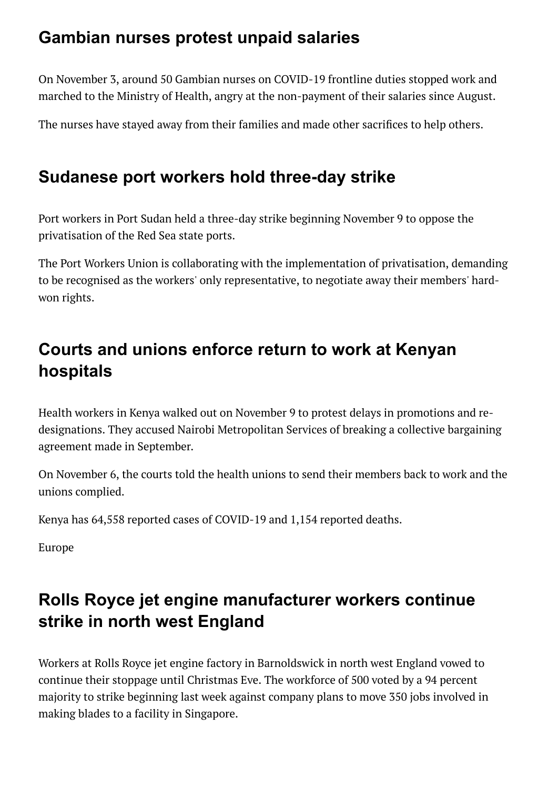#### **Gambian nurses protest unpaid salaries**

On November 3, around 50 Gambian nurses on COVID-19 frontline duties stopped work and marched to the Ministry of Health, angry at the non-payment of their salaries since August.

The nurses have stayed away from their families and made other sacrifices to help others.

#### **Sudanese port workers hold three-day strike**

Port workers in Port Sudan held a three-day strike beginning November 9 to oppose the privatisation of the Red Sea state ports.

The Port Workers Union is collaborating with the implementation of privatisation, demanding to be recognised as the workers' only representative, to negotiate away their members' hardwon rights.

# **Courts and unions enforce return to work at Kenyan hospitals**

Health workers in Kenya walked out on November 9 to protest delays in promotions and redesignations. They accused Nairobi Metropolitan Services of breaking a collective bargaining agreement made in September.

On November 6, the courts told the health unions to send their members back to work and the unions complied.

Kenya has 64,558 reported cases of COVID-19 and 1,154 reported deaths.

Europe

# **Rolls Royce jet engine manufacturer workers continue strike in north west England**

Workers at Rolls Royce jet engine factory in Barnoldswick in north west England vowed to continue their stoppage until Christmas Eve. The workforce of 500 voted by a 94 percent majority to strike beginning last week against company plans to move 350 jobs involved in making blades to a facility in Singapore.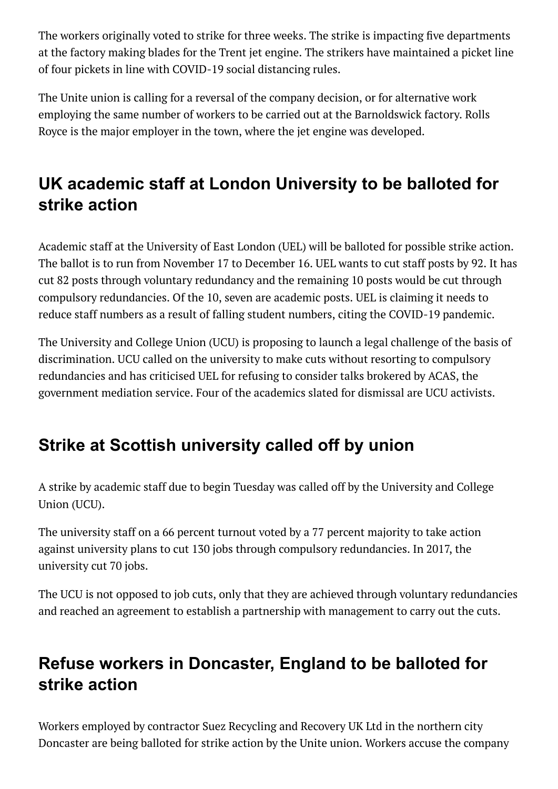The workers originally voted to strike for three weeks. The strike is impacting five departments at the factory making blades for the Trent jet engine. The strikers have maintained a picket line of four pickets in line with COVID-19 social distancing rules.

The Unite union is calling for a reversal of the company decision, or for alternative work employing the same number of workers to be carried out at the Barnoldswick factory. Rolls Royce is the major employer in the town, where the jet engine was developed.

# **UK academic staff at London University to be balloted for strike action**

Academic staff at the University of East London (UEL) will be balloted for possible strike action. The ballot is to run from November 17 to December 16. UEL wants to cut staff posts by 92. It has cut 82 posts through voluntary redundancy and the remaining 10 posts would be cut through compulsory redundancies. Of the 10, seven are academic posts. UEL is claiming it needs to reduce staff numbers as a result of falling student numbers, citing the COVID-19 pandemic.

The University and College Union (UCU) is proposing to launch a legal challenge of the basis of discrimination. UCU called on the university to make cuts without resorting to compulsory redundancies and has criticised UEL for refusing to consider talks brokered by ACAS, the government mediation service. Four of the academics slated for dismissal are UCU activists.

# **Strike at Scottish university called off by union**

A strike by academic staff due to begin Tuesday was called off by the University and College Union (UCU).

The university staff on a 66 percent turnout voted by a 77 percent majority to take action against university plans to cut 130 jobs through compulsory redundancies. In 2017, the university cut 70 jobs.

The UCU is not opposed to job cuts, only that they are achieved through voluntary redundancies and reached an agreement to establish a partnership with management to carry out the cuts.

# **Refuse workers in Doncaster, England to be balloted for strike action**

Workers employed by contractor Suez Recycling and Recovery UK Ltd in the northern city Doncaster are being balloted for strike action by the Unite union. Workers accuse the company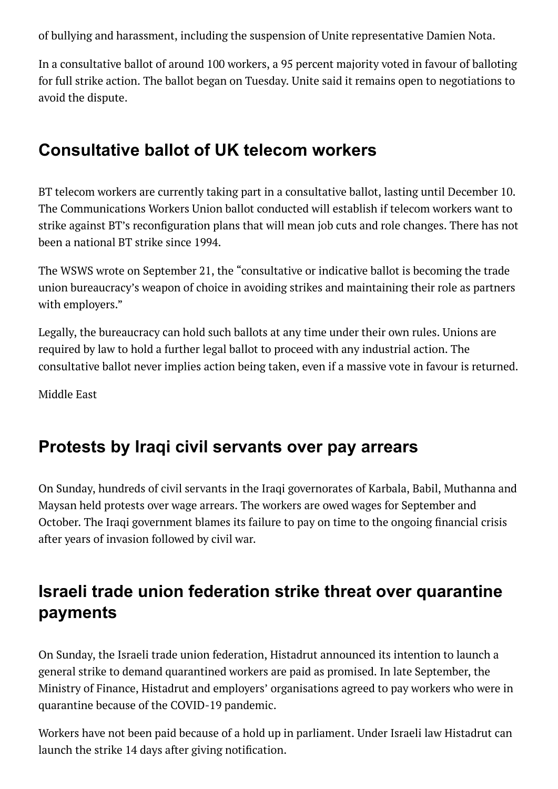of bullying and harassment, including the suspension of Unite representative Damien Nota.

In a consultative ballot of around 100 workers, a 95 percent majority voted in favour of balloting for full strike action. The ballot began on Tuesday. Unite said it remains open to negotiations to avoid the dispute.

#### **Consultative ballot of UK telecom workers**

BT telecom workers are currently taking part in a consultative ballot, lasting until December 10. The Communications Workers Union ballot conducted will establish if telecom workers want to strike against BT's reconfiguration plans that will mean job cuts and role changes. There has not been a national BT strike since 1994.

The WSWS wrote on September 21, the "consultative or indicative ballot is becoming the trade union bureaucracy's weapon of choice in avoiding strikes and maintaining their role as partners with employers."

Legally, the bureaucracy can hold such ballots at any time under their own rules. Unions are required by law to hold a further legal ballot to proceed with any industrial action. The consultative ballot never implies action being taken, even if a massive vote in favour is returned.

Middle East

#### **Protests by Iraqi civil servants over pay arrears**

On Sunday, hundreds of civil servants in the Iraqi governorates of Karbala, Babil, Muthanna and Maysan held protests over wage arrears. The workers are owed wages for September and October. The Iraqi government blames its failure to pay on time to the ongoing financial crisis after years of invasion followed by civil war.

#### **Israeli trade union federation strike threat over quarantine payments**

On Sunday, the Israeli trade union federation, Histadrut announced its intention to launch a general strike to demand quarantined workers are paid as promised. In late September, the Ministry of Finance, Histadrut and employers' organisations agreed to pay workers who were in quarantine because of the COVID-19 pandemic.

Workers have not been paid because of a hold up in parliament. Under Israeli law Histadrut can launch the strike 14 days after giving notification.